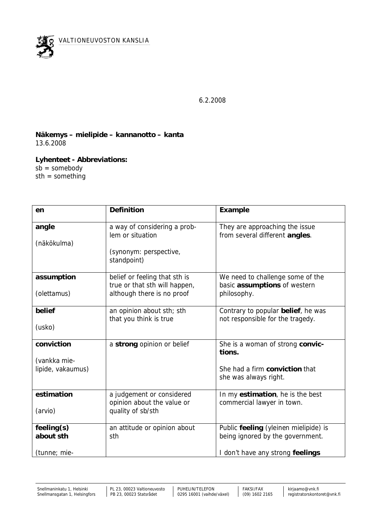

6.2.2008

**Näkemys – mielipide – kannanotto – kanta** 13.6.2008

**Lyhenteet - Abbreviations:**  $sb =$ somebody sth = something

| en                | Definition                                                     | Example                                                                |
|-------------------|----------------------------------------------------------------|------------------------------------------------------------------------|
| angle             | a way of considering a prob-<br>lem or situation               | They are approaching the issue<br>from several different angles.       |
| (näkökulma)       |                                                                |                                                                        |
|                   | (synonym: perspective,<br>standpoint)                          |                                                                        |
| assumption        | belief or feeling that sth is<br>true or that sth will happen, | We need to challenge some of the<br>basic assumptions of western       |
| (olettamus)       | although there is no proof                                     | philosophy.                                                            |
| belief            | an opinion about sth; sth<br>that you think is true            | Contrary to popular belief, he was<br>not responsible for the tragedy. |
| (usko)            |                                                                |                                                                        |
| conviction        | a strong opinion or belief                                     | She is a woman of strong convic-<br>tions.                             |
| (vankka mie-      |                                                                |                                                                        |
| lipide, vakaumus) |                                                                | She had a firm conviction that<br>she was always right.                |
| estimation        | a judgement or considered<br>opinion about the value or        | In my estimation, he is the best<br>commercial lawyer in town.         |
| (arvio)           | quality of sb/sth                                              |                                                                        |
| feeling(s)        | an attitude or opinion about                                   | Public feeling (yleinen mielipide) is                                  |
| about sth         | sth                                                            | being ignored by the government.                                       |
| (tunne; mie-      |                                                                | I don't have any strong feelings                                       |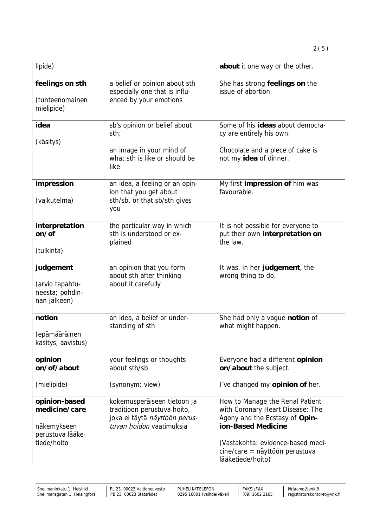| lipide)                                                         |                                                                                                                         | about it one way or the other.                                                                                              |
|-----------------------------------------------------------------|-------------------------------------------------------------------------------------------------------------------------|-----------------------------------------------------------------------------------------------------------------------------|
| feelings on sth<br>(tunteenomainen<br>mielipide)                | a belief or opinion about sth<br>especially one that is influ-<br>enced by your emotions                                | She has strong feelings on the<br>issue of abortion.                                                                        |
| idea<br>(käsitys)                                               | sb's opinion or belief about<br>sth;                                                                                    | Some of his ideas about democra-<br>cy are entirely his own.                                                                |
|                                                                 | an image in your mind of<br>what sth is like or should be<br>like                                                       | Chocolate and a piece of cake is<br>not my idea of dinner.                                                                  |
| impression<br>(vaikutelma)                                      | an idea, a feeling or an opin-<br>ion that you get about<br>sth/sb, or that sb/sth gives<br>you                         | My first impression of him was<br>favourable.                                                                               |
| interpretation<br>on/of<br>(tulkinta)                           | the particular way in which<br>sth is understood or ex-<br>plained                                                      | It is not possible for everyone to<br>put their own interpretation on<br>the law.                                           |
|                                                                 |                                                                                                                         |                                                                                                                             |
| judgement<br>(arvio tapahtu-<br>neesta; pohdin-<br>nan jälkeen) | an opinion that you form<br>about sth after thinking<br>about it carefully                                              | It was, in her judgement, the<br>wrong thing to do.                                                                         |
| notion<br>(epämääräinen<br>käsitys, aavistus)                   | an idea, a belief or under-<br>standing of sth                                                                          | She had only a vague notion of<br>what might happen.                                                                        |
| opinion<br>on/of/about                                          | your feelings or thoughts<br>about sth/sb                                                                               | Everyone had a different opinion<br>on/about the subject.                                                                   |
| (mielipide)                                                     | (synonym: view)                                                                                                         | I've changed my opinion of her.                                                                                             |
| opinion-based<br>medicine/care<br>näkemykseen                   | kokemusperäiseen tietoon ja<br>traditioon perustuva hoito,<br>joka ei täytä näyttöön perus-<br>tuvan hoidon vaatimuksia | How to Manage the Renal Patient<br>with Coronary Heart Disease: The<br>Agony and the Ecstasy of Opin-<br>ion-Based Medicine |
| perustuva lääke-<br>tiede/hoito                                 |                                                                                                                         | (Vastakohta: evidence-based medi-<br>cine/care = näyttöön perustuva                                                         |

lääketiede/hoito)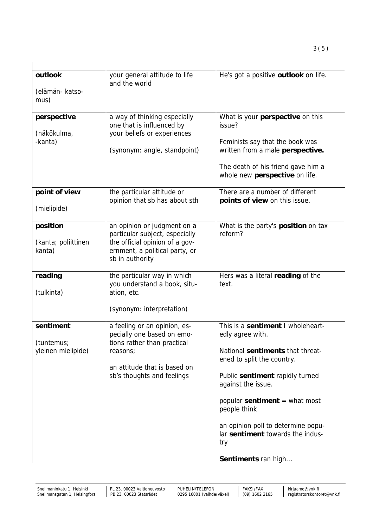| outlook                               | your general attitude to life<br>and the world                                                                           | He's got a positive outlook on life.                                                                                                                                                      |
|---------------------------------------|--------------------------------------------------------------------------------------------------------------------------|-------------------------------------------------------------------------------------------------------------------------------------------------------------------------------------------|
| (elämän- katso-<br>mus)               |                                                                                                                          |                                                                                                                                                                                           |
| perspective<br>(näkökulma,<br>-kanta) | a way of thinking especially<br>one that is influenced by<br>your beliefs or experiences<br>(synonym: angle, standpoint) | What is your perspective on this<br>issue?<br>Feminists say that the book was<br>written from a male perspective.<br>The death of his friend gave him a<br>whole new perspective on life. |
| point of view                         | the particular attitude or<br>opinion that sb has about sth                                                              | There are a number of different<br>points of view on this issue.                                                                                                                          |
| (mielipide)                           |                                                                                                                          |                                                                                                                                                                                           |
| position                              | an opinion or judgment on a<br>particular subject, especially                                                            | What is the party's position on tax<br>reform?                                                                                                                                            |
| (kanta; poliittinen<br>kanta)         | the official opinion of a gov-<br>ernment, a political party, or<br>sb in authority                                      |                                                                                                                                                                                           |
| reading                               | the particular way in which<br>you understand a book, situ-                                                              | Hers was a literal reading of the<br>text.                                                                                                                                                |
| (tulkinta)                            | ation, etc.                                                                                                              |                                                                                                                                                                                           |
|                                       | (synonym: interpretation)                                                                                                |                                                                                                                                                                                           |
| sentiment                             | a feeling or an opinion, es-<br>pecially one based on emo-                                                               | This is a sentiment I wholeheart-<br>edly agree with.                                                                                                                                     |
| (tuntemus;<br>yleinen mielipide)      | tions rather than practical<br>reasons;                                                                                  | National sentiments that threat-<br>ened to split the country.                                                                                                                            |
|                                       | an attitude that is based on<br>sb's thoughts and feelings                                                               | Public sentiment rapidly turned<br>against the issue.                                                                                                                                     |
|                                       |                                                                                                                          | popular sentiment $=$ what most<br>people think                                                                                                                                           |
|                                       |                                                                                                                          | an opinion poll to determine popu-<br>lar sentiment towards the indus-<br>try                                                                                                             |
|                                       |                                                                                                                          | Sentiments ran high                                                                                                                                                                       |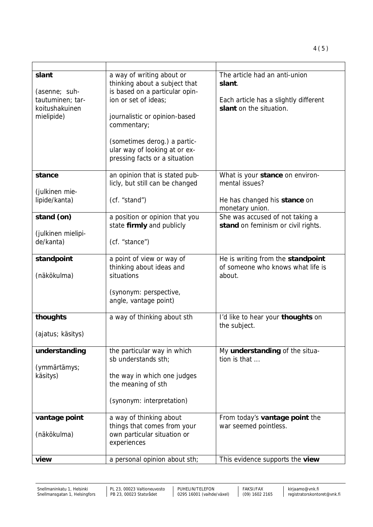| slant<br>(asenne; suh-<br>tautuminen; tar-<br>koitushakuinen<br>mielipide) | a way of writing about or<br>thinking about a subject that<br>is based on a particular opin-<br>ion or set of ideas:<br>journalistic or opinion-based<br>commentary;<br>(sometimes derog.) a partic-<br>ular way of looking at or ex-<br>pressing facts or a situation | The article had an anti-union<br>slant.<br>Each article has a slightly different<br>slant on the situation. |
|----------------------------------------------------------------------------|------------------------------------------------------------------------------------------------------------------------------------------------------------------------------------------------------------------------------------------------------------------------|-------------------------------------------------------------------------------------------------------------|
| stance                                                                     | an opinion that is stated pub-<br>licly, but still can be changed                                                                                                                                                                                                      | What is your stance on environ-<br>mental issues?                                                           |
| (julkinen mie-<br>lipide/kanta)                                            | (cf. "stand")                                                                                                                                                                                                                                                          | He has changed his stance on<br>monetary union.                                                             |
| stand (on)                                                                 | a position or opinion that you<br>state firmly and publicly                                                                                                                                                                                                            | She was accused of not taking a<br>stand on feminism or civil rights.                                       |
| (julkinen mielipi-<br>de/kanta)                                            | (cf. "stance")                                                                                                                                                                                                                                                         |                                                                                                             |
| standpoint<br>(näkökulma)                                                  | a point of view or way of<br>thinking about ideas and<br>situations                                                                                                                                                                                                    | He is writing from the standpoint<br>of someone who knows what life is<br>about.                            |
|                                                                            | (synonym: perspective,<br>angle, vantage point)                                                                                                                                                                                                                        |                                                                                                             |
| thoughts<br>(ajatus; käsitys)                                              | a way of thinking about sth                                                                                                                                                                                                                                            | I'd like to hear your thoughts on<br>the subject.                                                           |
| understanding                                                              | the particular way in which<br>sb understands sth;                                                                                                                                                                                                                     | My understanding of the situa-<br>tion is that                                                              |
| (ymmärtämys;<br>käsitys)                                                   | the way in which one judges<br>the meaning of sth                                                                                                                                                                                                                      |                                                                                                             |
|                                                                            | (synonym: interpretation)                                                                                                                                                                                                                                              |                                                                                                             |
| vantage point<br>(näkökulma)                                               | a way of thinking about<br>things that comes from your<br>own particular situation or<br>experiences                                                                                                                                                                   | From today's vantage point the<br>war seemed pointless.                                                     |
| view                                                                       | a personal opinion about sth;                                                                                                                                                                                                                                          | This evidence supports the view                                                                             |